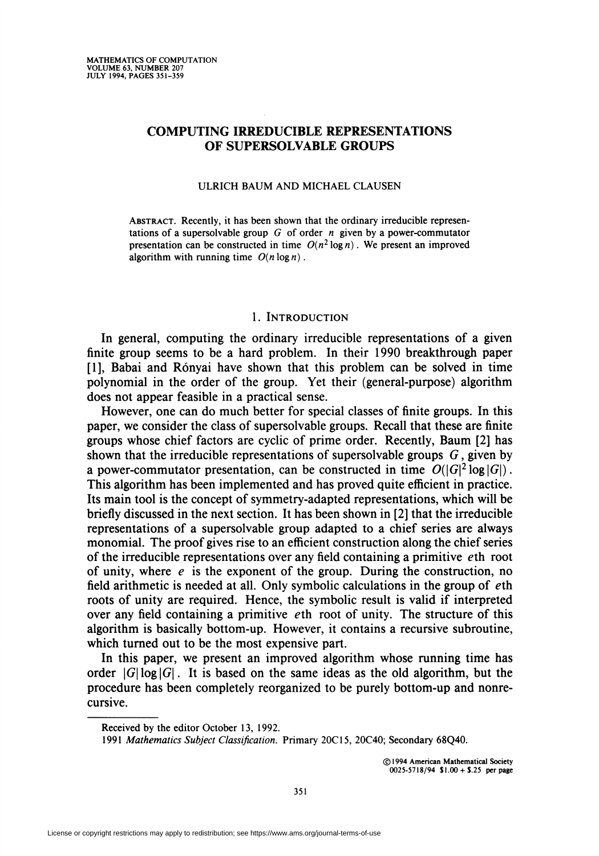# COMPUTING IRREDUCIBLE REPRESENTATIONS OF SUPERSOLVABLE GROUPS

#### ULRICH BAUM AND MICHAEL CLAUSEN

Abstract. Recently, it has been shown that the ordinary irreducible representations of a supersolvable group  $G$  of order  $n$  given by a power-commutator presentation can be constructed in time  $O(n^2 \log n)$ . We present an improved algorithm with running time  $O(n \log n)$ .

### 1. INTRODUCTION

In general, computing the ordinary irreducible representations of a given finite group seems to be a hard problem. In their 1990 breakthrough paper [1], Babai and Rónyai have shown that this problem can be solved in time polynomial in the order of the group. Yet their (general-purpose) algorithm does not appear feasible in a practical sense.

However, one can do much better for special classes of finite groups. In this paper, we consider the class of supersolvable groups. Recall that these are finite groups whose chief factors are cyclic of prime order. Recently, Baum [2] has shown that the irreducible representations of supersolvable groups  $G$ , given by a power-commutator presentation, can be constructed in time  $O(|G|^2 \log |G|)$ . This algorithm has been implemented and has proved quite efficient in practice. Its main tool is the concept of symmetry-adapted representations, which will be briefly discussed in the next section. It has been shown in [2] that the irreducible representations of a supersolvable group adapted to a chief series are always monomial. The proof gives rise to an efficient construction along the chief series of the irreducible representations over any field containing a primitive  $e$ th root of unity, where  $e_i$  is the exponent of the group. During the construction, no field arithmetic is needed at all. Only symbolic calculations in the group of  $e$ th roots of unity are required. Hence, the symbolic result is valid if interpreted over any field containing a primitive eth root of unity. The structure of this algorithm is basically bottom-up. However, it contains a recursive subroutine, which turned out to be the most expensive part.

In this paper, we present an improved algorithm whose running time has order  $|G| \log |G|$ . It is based on the same ideas as the old algorithm, but the procedure has been completely reorganized to be purely bottom-up and nonrecursive.

Received by the editor October 13, 1992.

<sup>1991</sup> Mathematics Subject Classification. Primary 20C15, 20C40; Secondary 68Q40.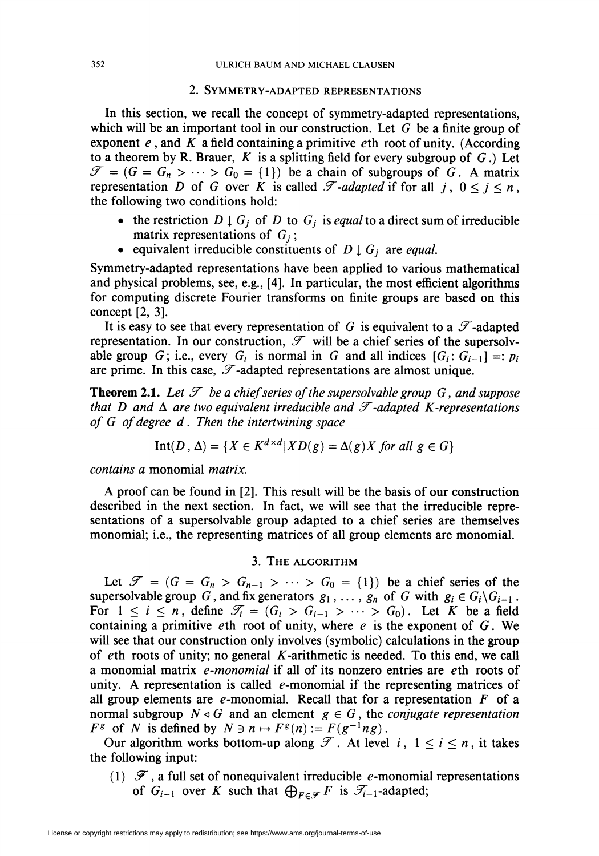## 2. Symmetry-adapted representations

In this section, we recall the concept of symmetry-adapted representations, which will be an important tool in our construction. Let  $G$  be a finite group of exponent  $e$ , and  $K$  a field containing a primitive  $e$ th root of unity. (According to a theorem by R. Brauer,  $K$  is a splitting field for every subgroup of  $G$ .) Let  $\mathscr{T} = (G = G_n > \cdots > G_0 = \{1\})$  be a chain of subgroups of G. A matrix representation D of G over K is called  $\mathscr T$ -adapted if for all j,  $0 \le j \le n$ , the following two conditions hold:

- the restriction  $D \downarrow G_i$  of D to  $G_i$  is equal to a direct sum of irreducible matrix representations of  $G_i$ ;
- equivalent irreducible constituents of  $D \downarrow G_i$  are *equal*.

Symmetry-adapted representations have been applied to various mathematical and physical problems, see, e.g., [4]. In particular, the most efficient algorithms for computing discrete Fourier transforms on finite groups are based on this concept [2, 3].

It is easy to see that every representation of G is equivalent to a  $\mathscr{T}$ -adapted representation. In our construction,  $\mathscr{T}$  will be a chief series of the supersolvable group G; i.e., every  $G_i$  is normal in G and all indices  $[G_i: G_{i-1}] =: p_i$ are prime. In this case,  $\mathscr T$ -adapted representations are almost unique.

**Theorem 2.1.** Let  $\mathcal{T}$  be a chief series of the supersolvable group G, and suppose that D and  $\Delta$  are two equivalent irreducible and  $\mathcal T$ -adapted K-representations of G of degree d. Then the intertwining space

$$
Int(D, \Delta) = \{ X \in K^{d \times d} | XD(g) = \Delta(g)X \text{ for all } g \in G \}
$$

contains a monomial matrix.

A proof can be found in [2]. This result will be the basis of our construction described in the next section. In fact, we will see that the irreducible representations of a supersolvable group adapted to a chief series are themselves monomial; i.e., the representing matrices of all group elements are monomial.

### 3. The algorithm

Let  $\mathscr{T} = (G = G_n > G_{n-1} > \cdots > G_0 = \{1\})$  be a chief series of the supersolvable group G, and fix generators  $g_1, \ldots, g_n$  of G with  $g_i \in G_i \backslash G_{i-1}$ . For  $1 \le i \le n$ , define  $\mathcal{T}_i = (G_i > G_{i-1} > \cdots > G_0)$ . Let K be a field containing a primitive eth root of unity, where  $e$  is the exponent of  $G$ . We will see that our construction only involves (symbolic) calculations in the group of eth roots of unity; no general  $K$ -arithmetic is needed. To this end, we call a monomial matrix *e-monomial* if all of its nonzero entries are *eth* roots of unity. A representation is called  $e$ -monomial if the representing matrices of all group elements are e-monomial. Recall that for a representation  $F$  of a normal subgroup  $N \triangleleft G$  and an element  $g \in G$ , the *conjugate representation*  $F^g$  of N is defined by  $N \ni n \mapsto F^g(n) := F(g^{-1}ng)$ .

Our algorithm works bottom-up along  $\mathcal T$ . At level  $i, 1 \le i \le n$ , it takes the following input:

(1)  $\mathscr F$ , a full set of nonequivalent irreducible e-monomial representations of  $G_{i-1}$  over K such that  $\bigoplus_{F\in\mathscr{F}}F$  is  $\mathscr{T}_{i-1}$ -adapted;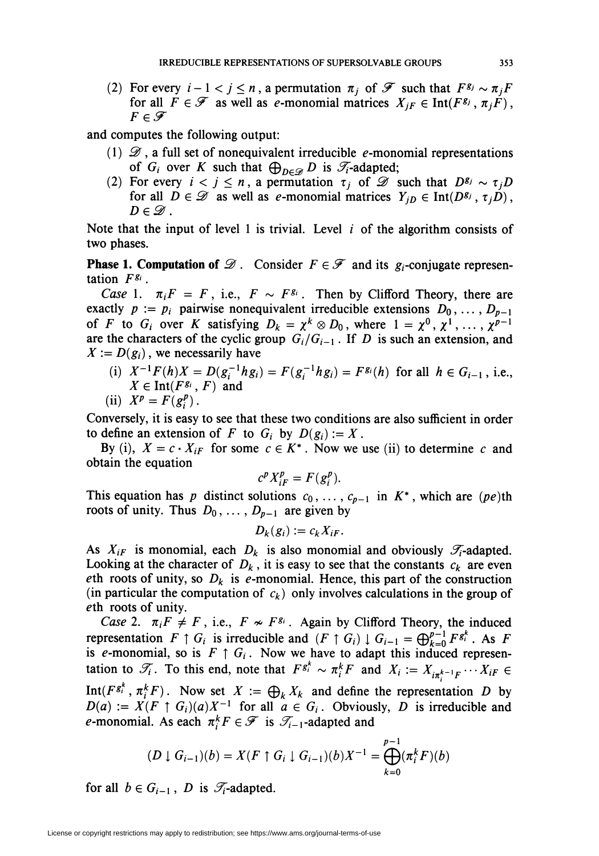(2) For every  $i - 1 < j \le n$ , a permutation  $\pi_i$  of  $\mathscr F$  such that  $F^{g_j} \sim \pi_j F$ for all  $F \in \mathscr{F}$  as well as e-monomial matrices  $X_{jF} \in \text{Int}(F^{g_j}, \pi_jF)$ ,  $F \in \mathscr{F}$ 

and computes the following output:

- (1)  $\mathscr{D}$ , a full set of nonequivalent irreducible e-monomial representations of  $G_i$  over K such that  $\bigoplus_{D\in\mathscr{D}} D$  is  $\mathscr{T}_i$ -adapted;
- (2) For every  $i < j \leq n$ , a permutation  $\tau_j$  of  $\mathscr{D}$  such that  $D^{g_j} \sim \tau_j D$ for all  $D \in \mathscr{D}$  as well as e-monomial matrices  $Y_{jD} \in \text{Int}(D^{g_j}, \tau_jD)$ ,  $D\in\mathscr{D}$ .

Note that the input of level 1 is trivial. Level  $i$  of the algorithm consists of two phases.

**Phase 1. Computation of**  $\mathcal{D}$ . Consider  $F \in \mathcal{F}$  and its  $g_i$ -conjugate representation  $F^{g_i}$ .

Case 1.  $\pi_i F = F$ , i.e.,  $F \sim F^{g_i}$ . Then by Clifford Theory, there are exactly  $p := p_i$  pairwise nonequivalent irreducible extensions  $D_0, \ldots, D_{p-1}$ of F to  $G_i$  over K satisfying  $D_k = \chi^k \otimes D_0$ , where  $1 = \chi^0, \chi^1, \ldots, \chi^{p-1}$ are the characters of the cyclic group  $G_i/G_{i-1}$ . If D is such an extension, and  $X := D(g_i)$ , we necessarily have

(i)  $X^{-1}F(h)X = D(g_i^{-1}hg_i) = F(g_i^{-1}hg_i) = F^{g_i}(h)$  for all  $h \in G_{i-1}$ , i.e.,  $X \in \text{Int}(F^{g_i}, F)$  and

$$
(ii) \ \ X^p = F(g_i^p).
$$

Conversely, it is easy to see that these two conditions are also sufficient in order to define an extension of F to  $G_i$  by  $D(g_i) := X$ .

By (i),  $X = c \cdot X_{iF}$  for some  $c \in K^*$ . Now we use (ii) to determine c and obtain the equation

$$
c^p X_{iF}^p = F(g_i^p).
$$

This equation has p distinct solutions  $c_0, \ldots, c_{p-1}$  in  $K^*$ , which are (pe)th roots of unity. Thus  $D_0, \ldots, D_{p-1}$  are given by

$$
D_k(g_i) := c_k X_{iF}.
$$

As  $X_{iF}$  is monomial, each  $D_k$  is also monomial and obviously  $\mathcal{T}_i$ -adapted. Looking at the character of  $D_k$ , it is easy to see that the constants  $c_k$  are even eth roots of unity, so  $D_k$  is e-monomial. Hence, this part of the construction (in particular the computation of  $c_k$ ) only involves calculations in the group of eth roots of unity.

Case 2.  $\pi_i F \neq F$ , i.e.,  $F \nsim F^{g_i}$ . Again by Clifford Theory, the induced representation  $F \uparrow G_i$  is irreducible and  $(F \uparrow G_i) \downarrow G_{i-1} = \bigoplus_{k=0}^{p-1} F^{g^k_i}$ . As F is e-monomial, so is  $F \uparrow G_i$ . Now we have to adapt this induced representation to  $\mathscr{T}_i$ . To this end, note that  $F^{g_i} \sim \pi_i^k F$  and  $X_i := X_{i\pi^{k-1}F} \cdots X_{iF}$ Int( $F^{g_i^k}$ ,  $\pi_i^k F$ ). Now set  $X := \bigoplus_k X_k$  and define the representation D by  $D(a) := X(F \uparrow G_i)(a)X^{-1}$  for all  $a \in G_i$ . Obviously, D is irreducible and e-monomial. As each  $\pi_i^k F \in \mathcal{F}$  is  $\mathcal{I}_{i-1}$ -adapted and

$$
(D \downarrow G_{i-1})(b) = X(F \uparrow G_i \downarrow G_{i-1})(b)X^{-1} = \bigoplus_{k=0}^{p-1} (\pi_i^k F)(b)
$$

for all  $b \in G_{i-1}$ , D is  $\mathcal{T}_i$ -adapted.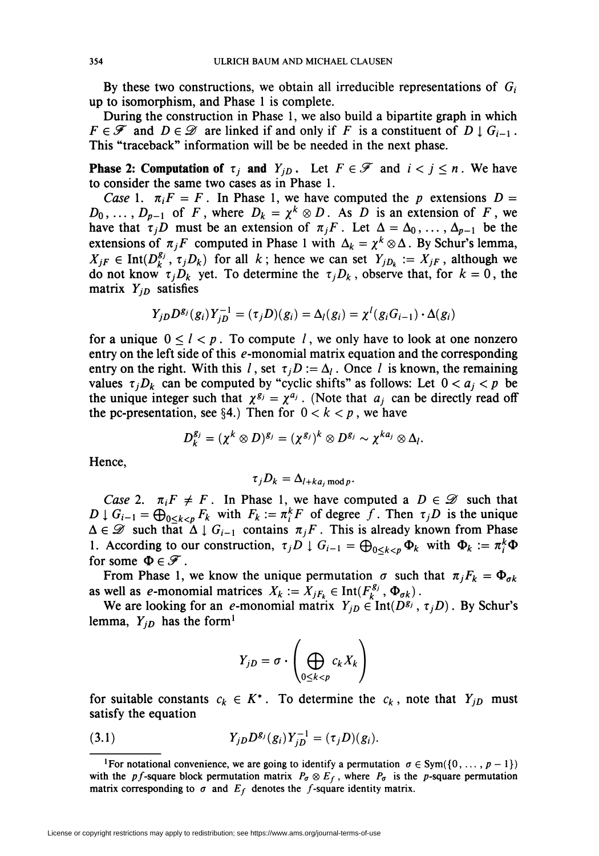By these two constructions, we obtain all irreducible representations of  $G_i$ up to isomorphism, and Phase 1 is complete.

During the construction in Phase 1, we also build a bipartite graph in which  $F \in \mathscr{F}$  and  $D \in \mathscr{D}$  are linked if and only if F is a constituent of  $D \downarrow G_{i-1}$ . This "traceback" information will be be needed in the next phase.

**Phase 2: Computation of**  $\tau_j$  **and**  $Y_{jD}$ **.** Let  $F \in \mathcal{F}$  and  $i < j \leq n$ . We have to consider the same two cases as in Phase 1.

Case 1.  $\pi_i F = F$ . In Phase 1, we have computed the p extensions  $D =$  $D_0, \ldots, D_{p-1}$  of F, where  $D_k = \chi^k \otimes D$ . As D is an extension of F, we have that  $\tau_jD$  must be an extension of  $\pi_jF$ . Let  $\Delta = \Delta_0, \ldots, \Delta_{p-1}$  be the extensions of  $\pi_jF$  computed in Phase 1 with  $\Delta_k = \chi^k \otimes \Delta$ . By Schur's lemma,  $X_{jF} \in \text{Int}(D_k^g, \tau_jD_k)$  for all k; hence we can set  $Y_{jD_k} := X_{jF}$ , although we do not know  $\tau_jD_k$  yet. To determine the  $\tau_jD_k$ , observe that, for  $k = 0$ , the matrix  $Y_{jD}$  satisfies

$$
Y_{jD}D^{g_j}(g_i)Y_{jD}^{-1}=(\tau_jD)(g_i)=\Delta_l(g_i)=\chi^l(g_iG_{i-1})\cdot\Delta(g_i)
$$

for a unique  $0 \le l < p$ . To compute l, we only have to look at one nonzero entry on the left side of this  $e$ -monomial matrix equation and the corresponding entry on the right. With this l, set  $\tau_i D := \Delta_l$ . Once l is known, the remaining values  $\tau_i D_k$  can be computed by "cyclic shifts" as follows: Let  $0 < a_i < p$  be the unique integer such that  $\chi^{g_j} = \chi^{a_j}$ . (Note that  $a_j$  can be directly read off the pc-presentation, see §4.) Then for  $0 < k < p$ , we have

$$
D_k^{g_j}=(\chi^k\otimes D)^{g_j}=(\chi^{g_j})^k\otimes D^{g_j}\sim \chi^{ka_j}\otimes \Delta_l.
$$

Hence,

$$
\tau_j D_k = \Delta_{l+ka_j \bmod p}.
$$

Case 2.  $\pi_i F \neq F$ . In Phase 1, we have computed a  $D \in \mathcal{D}$  such that  $D \downarrow G_{i-1} = \bigoplus_{0 \le k < p} F_k$  with  $F_k := \pi_i^k F$  of degree f. Then  $\tau_j D$  is the unique  $\Delta \in \mathscr{D}$  such that  $\Delta \downarrow G_{i-1}$  contains  $\pi_jF$ . This is already known from Phase 1. According to our construction,  $\tau_j D \downarrow G_{i-1} = \bigoplus_{0 \le k \le p} \Phi_k$  with  $\Phi_k := \pi_i^k \Phi$ for some  $\Phi \in \mathscr{F}$ .

From Phase 1, we know the unique permutation  $\sigma$  such that  $\pi_j F_k = \Phi_{\sigma k}$ as well as e-monomial matrices  $X_k := X_{jF_k} \in \text{Int}(F_k^{g_j}, \Phi_{\sigma k})$ .

We are looking for an e-monomial matrix  $Y_{jD} \in \text{Int}(D^{g_j}, \tau_jD)$ . By Schur's lemma,  $Y_{jD}$  has the form<sup>1</sup>

$$
Y_{jD} = \sigma \cdot \left( \bigoplus_{0 \le k < p} c_k X_k \right)
$$

for suitable constants  $c_k \in K^*$ . To determine the  $c_k$ , note that  $Y_{jD}$  must satisfy the equation

(3.1) 
$$
Y_{jD}D^{g_j}(g_i)Y_{jD}^{-1}=(\tau_jD)(g_i).
$$

<sup>&</sup>lt;sup>1</sup>For notational convenience, we are going to identify a permutation  $\sigma \in Sym(\{0, \ldots, p-1\})$ with the pf-square block permutation matrix  $P_{\sigma} \otimes E_f$ , where  $P_{\sigma}$  is the p-square permutation matrix corresponding to  $\sigma$  and  $E_f$  denotes the f-square identity matrix.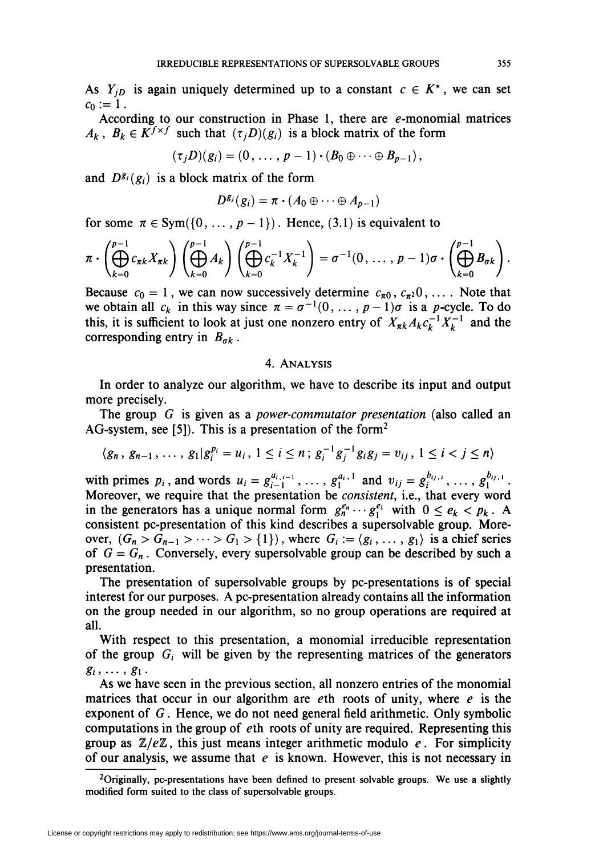As  $Y_{jD}$  is again uniquely determined up to a constant  $c \in K^*$ , we can set  $c_0 := 1$ .

According to our construction in Phase 1, there are  $e$ -monomial matrices  $A_k$ ,  $B_k \in K^{f \times f}$  such that  $(\tau_i D)(g_i)$  is a block matrix of the form

$$
(\tau_j D)(g_i)=(0,\ldots,p-1)\cdot (B_0\oplus\cdots\oplus B_{p-1}),
$$

and  $D^{g_j}(g_i)$  is a block matrix of the form

$$
D^{g_j}(g_i)=\pi\cdot(A_0\oplus\cdots\oplus A_{p-1})
$$

for some  $\pi \in Sym({0, \ldots, p-1})$ . Hence, (3.1) is equivalent to

$$
\pi \cdot \left( \bigoplus_{k=0}^{p-1} c_{\pi k} X_{\pi k} \right) \left( \bigoplus_{k=0}^{p-1} A_k \right) \left( \bigoplus_{k=0}^{p-1} c_k^{-1} X_k^{-1} \right) = \sigma^{-1}(0, \ldots, p-1)\sigma \cdot \left( \bigoplus_{k=0}^{p-1} B_{\sigma k} \right).
$$

Because  $c_0 = 1$ , we can now successively determine  $c_{\pi 0}$ ,  $c_{\pi^2}0$ , ... . Note that we obtain all  $c_k$  in this way since  $\pi = \sigma^{-1}(0, \ldots, p-1)\sigma$  is a p-cycle. To do this, it is sufficient to look at just one nonzero entry of  $X_{nk}A_kc_k^{-1}X_k^{-1}$  and the corresponding entry in  $B_{ak}$ .

### 4. Analysis

In order to analyze our algorithm, we have to describe its input and output more precisely.

The group G is given as a *power-commutator presentation* (also called an AG-system, see [5]). This is a presentation of the form<sup>2</sup>

$$
\langle g_n, g_{n-1}, \ldots, g_1 | g_i^{p_i} = u_i, 1 \leq i \leq n; g_i^{-1} g_j^{-1} g_i g_j = v_{ij}, 1 \leq i < j \leq n \rangle
$$

with primes  $p_i$ , and words  $u_i = g^{a_{i, i-1}}_{i-1}, \dots, g^{a_i, 1}_1$  and  $v_{ij} = g^{b_{ij, i}}_i, \dots, g^{b_{ij, 1}}_1$ . Moreover, we require that the presentation be consistent, i.e., that every word in the generators has a unique normal form  $g_n^{e_n} \cdots g_1^{e_1}$  with  $0 \le e_k < p_k$ . A consistent pc-presentation of this kind describes a supersolvable group. Moreover,  $(G_n > G_{n-1} > \cdots > G_1 > \{1\})$ , where  $G_i := \langle g_i, \ldots, g_1 \rangle$  is a chief series of  $G = G_n$ . Conversely, every supersolvable group can be described by such a presentation.

The presentation of supersolvable groups by pc-presentations is of special interest for our purposes. A pc-presentation already contains all the information on the group needed in our algorithm, so no group operations are required at all.

With respect to this presentation, a monomial irreducible representation of the group  $G_i$  will be given by the representing matrices of the generators  $g_i, \ldots, g_1$ .

As we have seen in the previous section, all nonzero entries of the monomial matrices that occur in our algorithm are  $e$ th roots of unity, where  $e$  is the exponent of  $G$ . Hence, we do not need general field arithmetic. Only symbolic computations in the group of eth roots of unity are required. Representing this group as  $\mathbb{Z}/e\mathbb{Z}$ , this just means integer arithmetic modulo e. For simplicity of our analysis, we assume that  $e$  is known. However, this is not necessary in

 $2$ Originally, pc-presentations have been defined to present solvable groups. We use a slightly modified form suited to the class of supersolvable groups.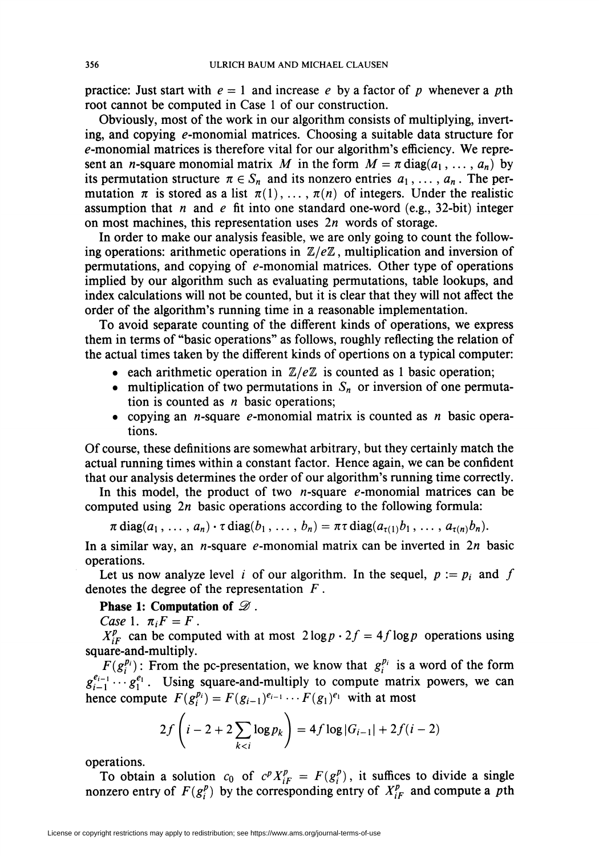practice: Just start with  $e = 1$  and increase e by a factor of p whenever a pth root cannot be computed in Case 1 of our construction.

Obviously, most of the work in our algorithm consists of multiplying, inverting, and copying  $e$ -monomial matrices. Choosing a suitable data structure for e-monomial matrices is therefore vital for our algorithm's efficiency. We represent an *n*-square monomial matrix M in the form  $M = \pi \text{ diag}(a_1, \ldots, a_n)$  by its permutation structure  $\pi \in S_n$  and its nonzero entries  $a_1, \ldots, a_n$ . The permutation  $\pi$  is stored as a list  $\pi(1), \ldots, \pi(n)$  of integers. Under the realistic assumption that n and e fit into one standard one-word (e.g., 32-bit) integer on most machines, this representation uses  $2n$  words of storage.

In order to make our analysis feasible, we are only going to count the following operations: arithmetic operations in  $\mathbb{Z}/e\mathbb{Z}$ , multiplication and inversion of permutations, and copying of  $e$ -monomial matrices. Other type of operations implied by our algorithm such as evaluating permutations, table lookups, and index calculations will not be counted, but it is clear that they will not affect the order of the algorithm's running time in a reasonable implementation.

To avoid separate counting of the different kinds of operations, we express them in terms of "basic operations" as follows, roughly reflecting the relation of the actual times taken by the different kinds of opertions on a typical computer:

- each arithmetic operation in  $\mathbb{Z}/e\mathbb{Z}$  is counted as 1 basic operation;
- multiplication of two permutations in  $S_n$  or inversion of one permutation is counted as  $n$  basic operations;
- copying an *n*-square *e*-monomial matrix is counted as *n* basic operations.

Of course, these definitions are somewhat arbitrary, but they certainly match the actual running times within a constant factor. Hence again, we can be confident that our analysis determines the order of our algorithm's running time correctly.

In this model, the product of two *n*-square  $e$ -monomial matrices can be computed using  $2n$  basic operations according to the following formula:

$$
\pi \operatorname{diag}(a_1,\ldots,a_n)\cdot \tau \operatorname{diag}(b_1,\ldots,b_n)=\pi \tau \operatorname{diag}(a_{\tau(1)}b_1,\ldots,a_{\tau(n)}b_n).
$$

In a similar way, an *n*-square *e*-monomial matrix can be inverted in  $2n$  basic operations.

Let us now analyze level i of our algorithm. In the sequel,  $p := p_i$  and f denotes the degree of the representation  $F$ .

Phase 1: Computation of  $\mathscr{D}$ .

Case 1.  $\pi_i F = F$ .

 $X_{iF}^p$  can be computed with at most  $2\log p \cdot 2f = 4f \log p$  operations using square-and-multiply.

 $F(g_i^{p_i})$ : From the pc-presentation, we know that  $g_i^{p_i}$  is a word of the form  $g_{i-1}^{e_{i-1}} \cdots g_1^{e_1}$ . Using square-and-multiply to compute matrix powers, we can hence compute  $F(g_i^{p_i}) = F(g_{i-1})^{e_{i-1}} \cdots F(g_1)^{e_1}$  with at most

$$
2f\left(i-2+2\sum_{k
$$

operations.

To obtain a solution  $c_0$  of  $c^p X_{iF}^p = F(g_i^p)$ , it suffices to divide a single nonzero entry of  $F(g_i^p)$  by the corresponding entry of  $X_{i}^p$  and compute a pth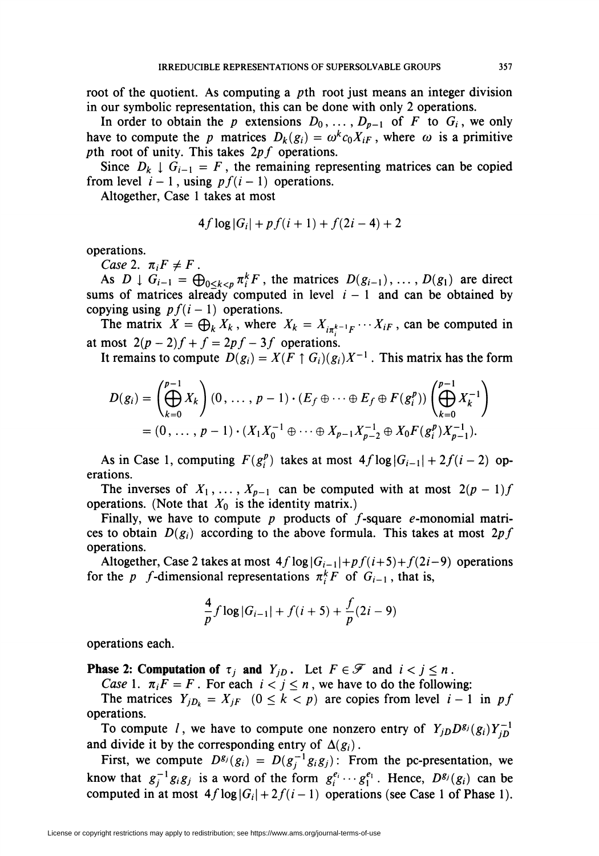root of the quotient. As computing a pth root just means an integer division in our symbolic representation, this can be done with only 2 operations.

In order to obtain the p extensions  $D_0, \ldots, D_{p-1}$  of F to  $G_i$ , we only have to compute the p matrices  $D_k(g_i) = \omega^k c_0 X_{iF}$ , where  $\omega$  is a primitive pth root of unity. This takes  $2pf$  operations.

Since  $D_k \downarrow G_{i-1} = F$ , the remaining representing matrices can be copied from level  $i - 1$ , using  $pf(i - 1)$  operations.

Altogether, Case 1 takes at most

$$
4f \log |G_i| + pf(i+1) + f(2i-4) + 2
$$

operations.

Case 2.  $\pi_i F \neq F$ .

As  $D \downarrow G_{i-1} = \bigoplus_{0 \le k \le p} \pi_i^k F$ , the matrices  $D(g_{i-1}), \ldots, D(g_1)$  are direct sums of matrices already computed in level  $i - 1$  and can be obtained by copying using  $pf(i - 1)$  operations.

The matrix  $X = \bigoplus_{k} X_{k}$ , where  $X_{k} = X_{i\pi_{i}^{k-1}F} \cdots X_{iF}$ , can be computed in at most  $2(p-2)f + f = 2pf - 3f$  operations.

It remains to compute  $D(g_i) = X(F \uparrow G_i)(g_i)X^{-1}$ . This matrix has the form

$$
D(g_i) = \left(\bigoplus_{k=0}^{p-1} X_k\right) (0, \dots, p-1) \cdot (E_f \oplus \dots \oplus E_f \oplus F(g_i^p)) \left(\bigoplus_{k=0}^{p-1} X_k^{-1}\right)
$$
  
=  $(0, \dots, p-1) \cdot (X_1 X_0^{-1} \oplus \dots \oplus X_{p-1} X_{p-2}^{-1} \oplus X_0 F(g_i^p) X_{p-1}^{-1}).$ 

As in Case 1, computing  $F(g_i^p)$  takes at most  $4f \log |G_{i-1}| + 2f(i-2)$  operations.

The inverses of  $X_1, \ldots, X_{p-1}$  can be computed with at most  $2(p-1)f$ operations. (Note that  $X_0$  is the identity matrix.)

Finally, we have to compute  $p$  products of  $f$ -square  $e$ -monomial matrices to obtain  $D(g_i)$  according to the above formula. This takes at most 2pf operations.

Altogether, Case 2 takes at most  $4f \log |G_{i-1}| + pf(i+5) + f(2i-9)$  operations for the p f-dimensional representations  $\pi_i^k F$  of  $G_{i-1}$ , that is,

$$
\frac{4}{p}f\log|G_{i-1}| + f(i+5) + \frac{f}{p}(2i-9)
$$

operations each.

**Phase 2: Computation of**  $\tau_i$  **and**  $Y_{i,D}$ **.** Let  $F \in \mathcal{F}$  and  $i < j \leq n$ .

Case 1.  $\pi_i F = F$ . For each  $i < j \le n$ , we have to do the following:

The matrices  $Y_{jD_k} = X_{jF}$   $(0 \le k < p)$  are copies from level  $i - 1$  in pf operations.

To compute l, we have to compute one nonzero entry of  $Y_{jD}D^{g_j}(g_i)Y_{iD}^{-1}$ and divide it by the corresponding entry of  $\Delta(g_i)$ .

First, we compute  $D^{g_j}(g_i) = D(g_j^{-1}g_ig_j)$ : From the pc-presentation, we know that  $g_i^{-1}g_ig_j$  is a word of the form  $g_i^{e_i} \cdots g_1^{e_1}$ . Hence,  $D^{g_j}(g_i)$  can be computed in at most  $4f \log |G_i| + 2f(i-1)$  operations (see Case 1 of Phase 1).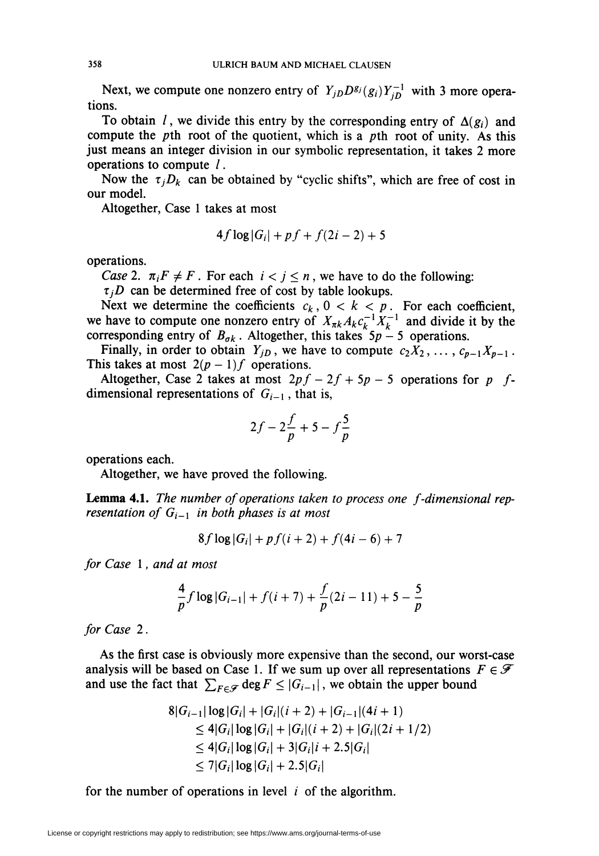Next, we compute one nonzero entry of  $Y_{jD}D^{g_j}(g_i)Y_{jD}^{-1}$  with 3 more operations.

To obtain l, we divide this entry by the corresponding entry of  $\Delta(g_i)$  and compute the pth root of the quotient, which is a pth root of unity. As this just means an integer division in our symbolic representation, it takes 2 more operations to compute /.

Now the  $\tau_jD_k$  can be obtained by "cyclic shifts", which are free of cost in our model.

Altogether, Case 1 takes at most

$$
4f\log|G_i| + pf + f(2i - 2) + 5
$$

operations.

Case 2.  $\pi_i F \neq F$ . For each  $i < j \leq n$ , we have to do the following:

 $\tau_i$ D can be determined free of cost by table lookups.

Next we determine the coefficients  $c_k$ ,  $0 < k < p$ . For each coefficient, we have to compute one nonzero entry of  $X_{nk}A_kc_k^{-1}X_k^{-1}$  and divide it by the corresponding entry of  $B_{\sigma k}$ . Altogether, this takes  $5p-5$  operations.

Finally, in order to obtain  $Y_{jD}$ , we have to compute  $c_2X_2, \ldots, c_{p-1}X_{p-1}$ . This takes at most  $2(p-1)f$  operations.

Altogether, Case 2 takes at most  $2pf - 2f + 5p - 5$  operations for p fdimensional representations of  $G_{i-1}$ , that is,

$$
2f - 2\frac{f}{p} + 5 - f\frac{5}{p}
$$

operations each.

Altogether, we have proved the following.

Lemma 4.1. The number of operations taken to process one f-dimensional representation of  $G_{i-1}$  in both phases is at most

$$
8f \log |G_i| + pf(i+2) + f(4i-6) + 7
$$

for Case 1, and at most

$$
\frac{4}{p}f\log|G_{i-1}| + f(i+7) + \frac{f}{p}(2i-11) + 5 - \frac{5}{p}
$$

for Case 2.

As the first case is obviously more expensive than the second, our worst-case analysis will be based on Case 1. If we sum up over all representations  $F \in \mathscr{F}$ and use the fact that  $\sum_{F \in \mathcal{F}} \deg F \le |G_{i-1}|$ , we obtain the upper bound

$$
8|G_{i-1}| \log |G_i| + |G_i|(i+2) + |G_{i-1}|(4i+1)
$$
  
\n
$$
\leq 4|G_i| \log |G_i| + |G_i|(i+2) + |G_i|(2i+1/2)
$$
  
\n
$$
\leq 4|G_i| \log |G_i| + 3|G_i|i+2.5|G_i|
$$
  
\n
$$
\leq 7|G_i| \log |G_i| + 2.5|G_i|
$$

for the number of operations in level  $i$  of the algorithm.